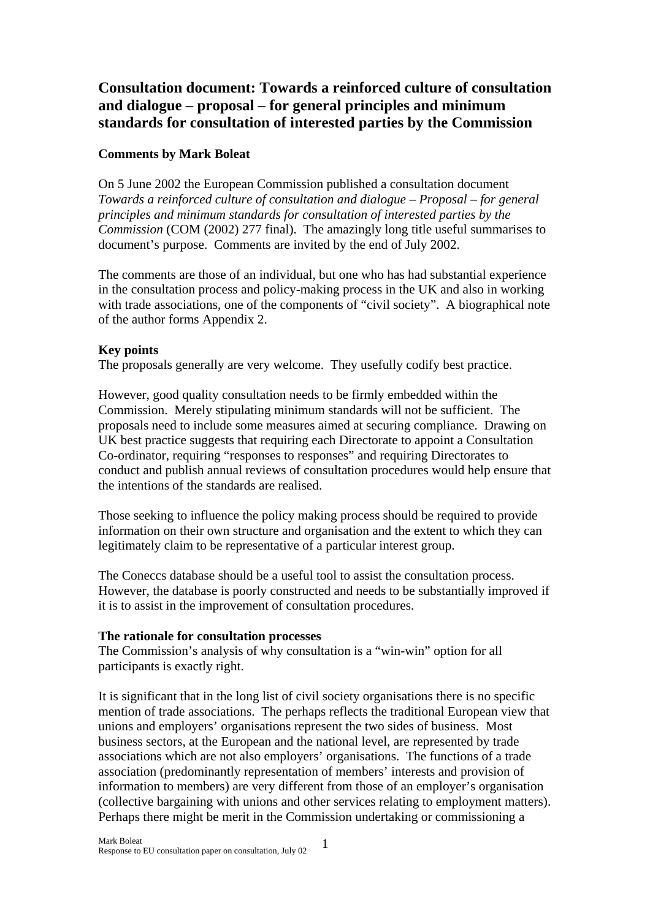# **Consultation document: Towards a reinforced culture of consultation and dialogue – proposal – for general principles and minimum standards for consultation of interested parties by the Commission**

## **Comments by Mark Boleat**

On 5 June 2002 the European Commission published a consultation document *Towards a reinforced culture of consultation and dialogue – Proposal – for general principles and minimum standards for consultation of interested parties by the Commission* (COM (2002) 277 final). The amazingly long title useful summarises to document's purpose. Comments are invited by the end of July 2002.

The comments are those of an individual, but one who has had substantial experience in the consultation process and policy-making process in the UK and also in working with trade associations, one of the components of "civil society". A biographical note of the author forms Appendix 2.

## **Key points**

The proposals generally are very welcome. They usefully codify best practice.

However, good quality consultation needs to be firmly embedded within the Commission. Merely stipulating minimum standards will not be sufficient. The proposals need to include some measures aimed at securing compliance. Drawing on UK best practice suggests that requiring each Directorate to appoint a Consultation Co-ordinator, requiring "responses to responses" and requiring Directorates to conduct and publish annual reviews of consultation procedures would help ensure that the intentions of the standards are realised.

Those seeking to influence the policy making process should be required to provide information on their own structure and organisation and the extent to which they can legitimately claim to be representative of a particular interest group.

The Coneccs database should be a useful tool to assist the consultation process. However, the database is poorly constructed and needs to be substantially improved if it is to assist in the improvement of consultation procedures.

## **The rationale for consultation processes**

The Commission's analysis of why consultation is a "win-win" option for all participants is exactly right.

It is significant that in the long list of civil society organisations there is no specific mention of trade associations. The perhaps reflects the traditional European view that unions and employers' organisations represent the two sides of business. Most business sectors, at the European and the national level, are represented by trade associations which are not also employers' organisations. The functions of a trade association (predominantly representation of members' interests and provision of information to members) are very different from those of an employer's organisation (collective bargaining with unions and other services relating to employment matters). Perhaps there might be merit in the Commission undertaking or commissioning a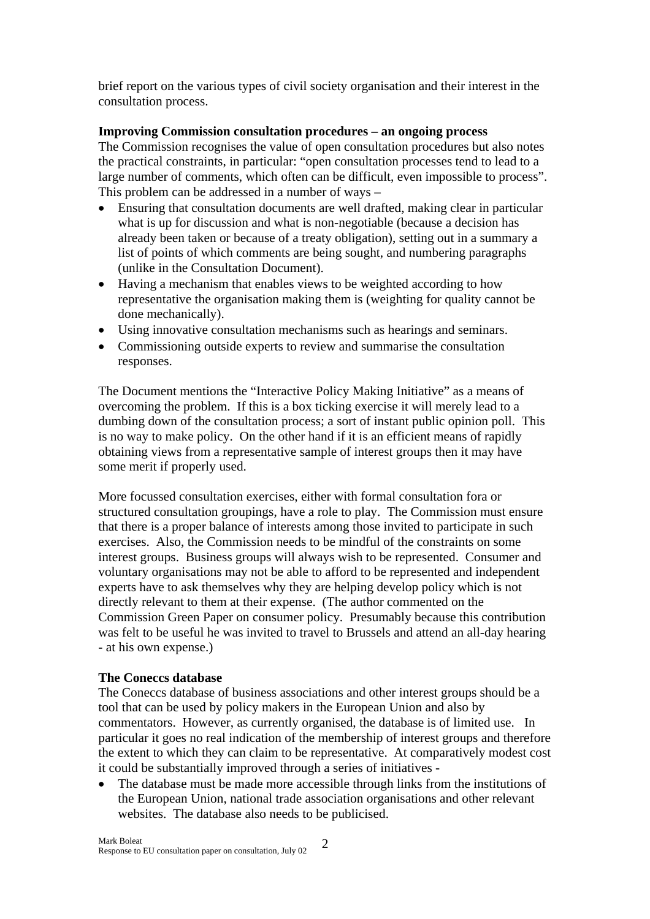brief report on the various types of civil society organisation and their interest in the consultation process.

## **Improving Commission consultation procedures – an ongoing process**

The Commission recognises the value of open consultation procedures but also notes the practical constraints, in particular: "open consultation processes tend to lead to a large number of comments, which often can be difficult, even impossible to process". This problem can be addressed in a number of ways –

- Ensuring that consultation documents are well drafted, making clear in particular what is up for discussion and what is non-negotiable (because a decision has already been taken or because of a treaty obligation), setting out in a summary a list of points of which comments are being sought, and numbering paragraphs (unlike in the Consultation Document).
- Having a mechanism that enables views to be weighted according to how representative the organisation making them is (weighting for quality cannot be done mechanically).
- Using innovative consultation mechanisms such as hearings and seminars.
- Commissioning outside experts to review and summarise the consultation responses.

The Document mentions the "Interactive Policy Making Initiative" as a means of overcoming the problem. If this is a box ticking exercise it will merely lead to a dumbing down of the consultation process; a sort of instant public opinion poll. This is no way to make policy. On the other hand if it is an efficient means of rapidly obtaining views from a representative sample of interest groups then it may have some merit if properly used.

More focussed consultation exercises, either with formal consultation fora or structured consultation groupings, have a role to play. The Commission must ensure that there is a proper balance of interests among those invited to participate in such exercises. Also, the Commission needs to be mindful of the constraints on some interest groups. Business groups will always wish to be represented. Consumer and voluntary organisations may not be able to afford to be represented and independent experts have to ask themselves why they are helping develop policy which is not directly relevant to them at their expense. (The author commented on the Commission Green Paper on consumer policy. Presumably because this contribution was felt to be useful he was invited to travel to Brussels and attend an all-day hearing - at his own expense.)

## **The Coneccs database**

The Coneccs database of business associations and other interest groups should be a tool that can be used by policy makers in the European Union and also by commentators. However, as currently organised, the database is of limited use. In particular it goes no real indication of the membership of interest groups and therefore the extent to which they can claim to be representative. At comparatively modest cost it could be substantially improved through a series of initiatives -

• The database must be made more accessible through links from the institutions of the European Union, national trade association organisations and other relevant websites. The database also needs to be publicised.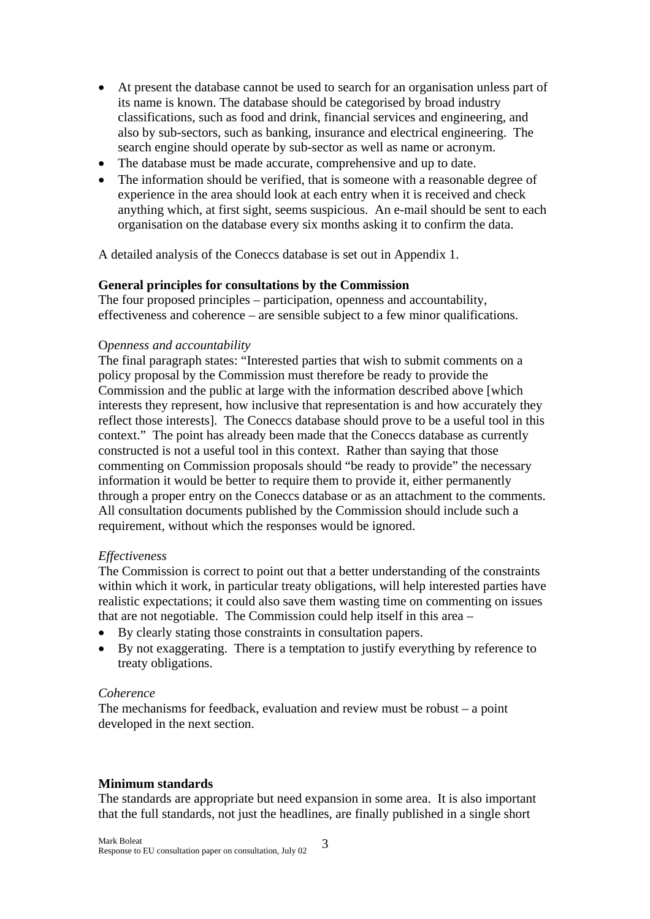- At present the database cannot be used to search for an organisation unless part of its name is known. The database should be categorised by broad industry classifications, such as food and drink, financial services and engineering, and also by sub-sectors, such as banking, insurance and electrical engineering. The search engine should operate by sub-sector as well as name or acronym.
- The database must be made accurate, comprehensive and up to date.
- The information should be verified, that is someone with a reasonable degree of experience in the area should look at each entry when it is received and check anything which, at first sight, seems suspicious. An e-mail should be sent to each organisation on the database every six months asking it to confirm the data.

A detailed analysis of the Coneccs database is set out in Appendix 1.

### **General principles for consultations by the Commission**

The four proposed principles – participation, openness and accountability, effectiveness and coherence – are sensible subject to a few minor qualifications.

### O*penness and accountability*

The final paragraph states: "Interested parties that wish to submit comments on a policy proposal by the Commission must therefore be ready to provide the Commission and the public at large with the information described above [which interests they represent, how inclusive that representation is and how accurately they reflect those interests]. The Coneccs database should prove to be a useful tool in this context." The point has already been made that the Coneccs database as currently constructed is not a useful tool in this context. Rather than saying that those commenting on Commission proposals should "be ready to provide" the necessary information it would be better to require them to provide it, either permanently through a proper entry on the Coneccs database or as an attachment to the comments. All consultation documents published by the Commission should include such a requirement, without which the responses would be ignored.

### *Effectiveness*

The Commission is correct to point out that a better understanding of the constraints within which it work, in particular treaty obligations, will help interested parties have realistic expectations; it could also save them wasting time on commenting on issues that are not negotiable. The Commission could help itself in this area –

- By clearly stating those constraints in consultation papers.
- By not exaggerating. There is a temptation to justify everything by reference to treaty obligations.

## *Coherence*

The mechanisms for feedback, evaluation and review must be robust – a point developed in the next section.

## **Minimum standards**

The standards are appropriate but need expansion in some area. It is also important that the full standards, not just the headlines, are finally published in a single short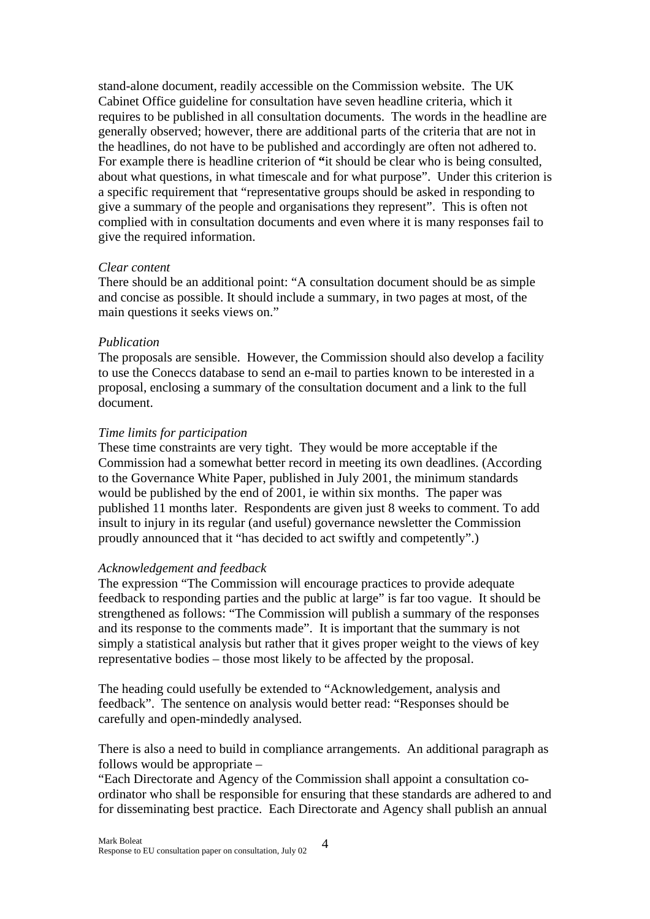stand-alone document, readily accessible on the Commission website. The UK Cabinet Office guideline for consultation have seven headline criteria, which it requires to be published in all consultation documents. The words in the headline are generally observed; however, there are additional parts of the criteria that are not in the headlines, do not have to be published and accordingly are often not adhered to. For example there is headline criterion of **"**it should be clear who is being consulted, about what questions, in what timescale and for what purpose". Under this criterion is a specific requirement that "representative groups should be asked in responding to give a summary of the people and organisations they represent". This is often not complied with in consultation documents and even where it is many responses fail to give the required information.

### *Clear content*

There should be an additional point: "A consultation document should be as simple and concise as possible. It should include a summary, in two pages at most, of the main questions it seeks views on."

### *Publication*

The proposals are sensible. However, the Commission should also develop a facility to use the Coneccs database to send an e-mail to parties known to be interested in a proposal, enclosing a summary of the consultation document and a link to the full document.

#### *Time limits for participation*

These time constraints are very tight. They would be more acceptable if the Commission had a somewhat better record in meeting its own deadlines. (According to the Governance White Paper, published in July 2001, the minimum standards would be published by the end of 2001, ie within six months. The paper was published 11 months later. Respondents are given just 8 weeks to comment. To add insult to injury in its regular (and useful) governance newsletter the Commission proudly announced that it "has decided to act swiftly and competently".)

### *Acknowledgement and feedback*

The expression "The Commission will encourage practices to provide adequate feedback to responding parties and the public at large" is far too vague. It should be strengthened as follows: "The Commission will publish a summary of the responses and its response to the comments made". It is important that the summary is not simply a statistical analysis but rather that it gives proper weight to the views of key representative bodies – those most likely to be affected by the proposal.

The heading could usefully be extended to "Acknowledgement, analysis and feedback". The sentence on analysis would better read: "Responses should be carefully and open-mindedly analysed.

There is also a need to build in compliance arrangements. An additional paragraph as follows would be appropriate –

"Each Directorate and Agency of the Commission shall appoint a consultation coordinator who shall be responsible for ensuring that these standards are adhered to and for disseminating best practice. Each Directorate and Agency shall publish an annual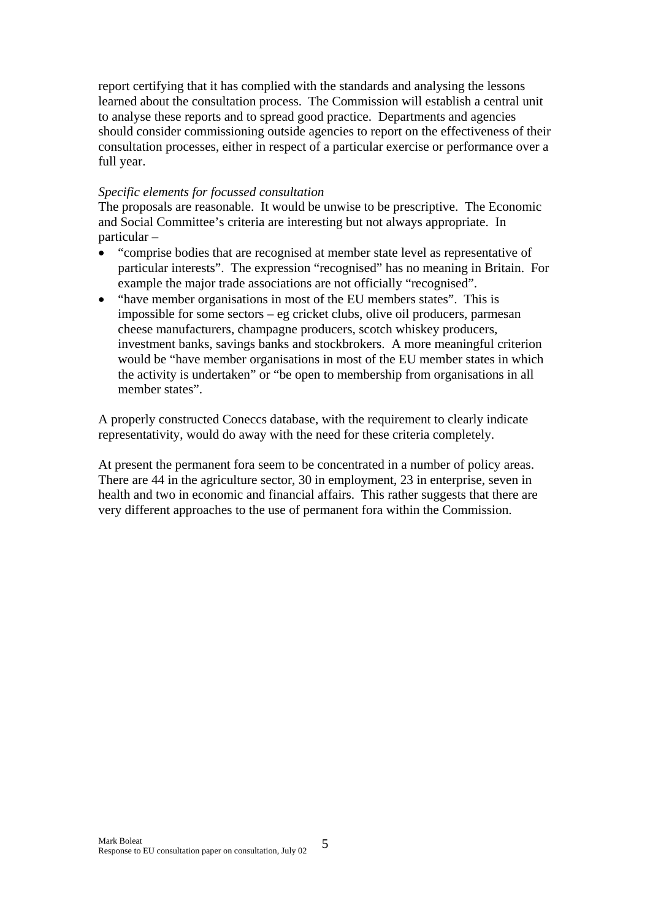report certifying that it has complied with the standards and analysing the lessons learned about the consultation process. The Commission will establish a central unit to analyse these reports and to spread good practice. Departments and agencies should consider commissioning outside agencies to report on the effectiveness of their consultation processes, either in respect of a particular exercise or performance over a full year.

### *Specific elements for focussed consultation*

The proposals are reasonable. It would be unwise to be prescriptive. The Economic and Social Committee's criteria are interesting but not always appropriate. In particular –

- "comprise bodies that are recognised at member state level as representative of particular interests". The expression "recognised" has no meaning in Britain. For example the major trade associations are not officially "recognised".
- "have member organisations in most of the EU members states". This is impossible for some sectors – eg cricket clubs, olive oil producers, parmesan cheese manufacturers, champagne producers, scotch whiskey producers, investment banks, savings banks and stockbrokers. A more meaningful criterion would be "have member organisations in most of the EU member states in which the activity is undertaken" or "be open to membership from organisations in all member states".

A properly constructed Coneccs database, with the requirement to clearly indicate representativity, would do away with the need for these criteria completely.

At present the permanent fora seem to be concentrated in a number of policy areas. There are 44 in the agriculture sector, 30 in employment, 23 in enterprise, seven in health and two in economic and financial affairs. This rather suggests that there are very different approaches to the use of permanent fora within the Commission.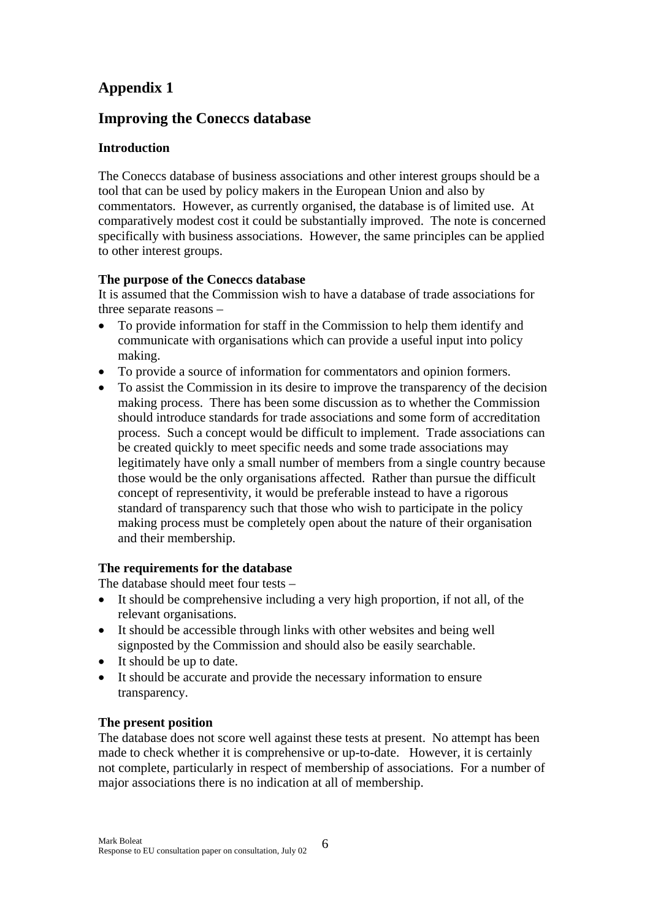# **Appendix 1**

# **Improving the Coneccs database**

# **Introduction**

The Coneccs database of business associations and other interest groups should be a tool that can be used by policy makers in the European Union and also by commentators. However, as currently organised, the database is of limited use. At comparatively modest cost it could be substantially improved. The note is concerned specifically with business associations. However, the same principles can be applied to other interest groups.

# **The purpose of the Coneccs database**

It is assumed that the Commission wish to have a database of trade associations for three separate reasons –

- To provide information for staff in the Commission to help them identify and communicate with organisations which can provide a useful input into policy making.
- To provide a source of information for commentators and opinion formers.
- To assist the Commission in its desire to improve the transparency of the decision making process. There has been some discussion as to whether the Commission should introduce standards for trade associations and some form of accreditation process. Such a concept would be difficult to implement. Trade associations can be created quickly to meet specific needs and some trade associations may legitimately have only a small number of members from a single country because those would be the only organisations affected. Rather than pursue the difficult concept of representivity, it would be preferable instead to have a rigorous standard of transparency such that those who wish to participate in the policy making process must be completely open about the nature of their organisation and their membership.

# **The requirements for the database**

The database should meet four tests –

- It should be comprehensive including a very high proportion, if not all, of the relevant organisations.
- It should be accessible through links with other websites and being well signposted by the Commission and should also be easily searchable.
- It should be up to date.
- It should be accurate and provide the necessary information to ensure transparency.

# **The present position**

The database does not score well against these tests at present. No attempt has been made to check whether it is comprehensive or up-to-date. However, it is certainly not complete, particularly in respect of membership of associations. For a number of major associations there is no indication at all of membership.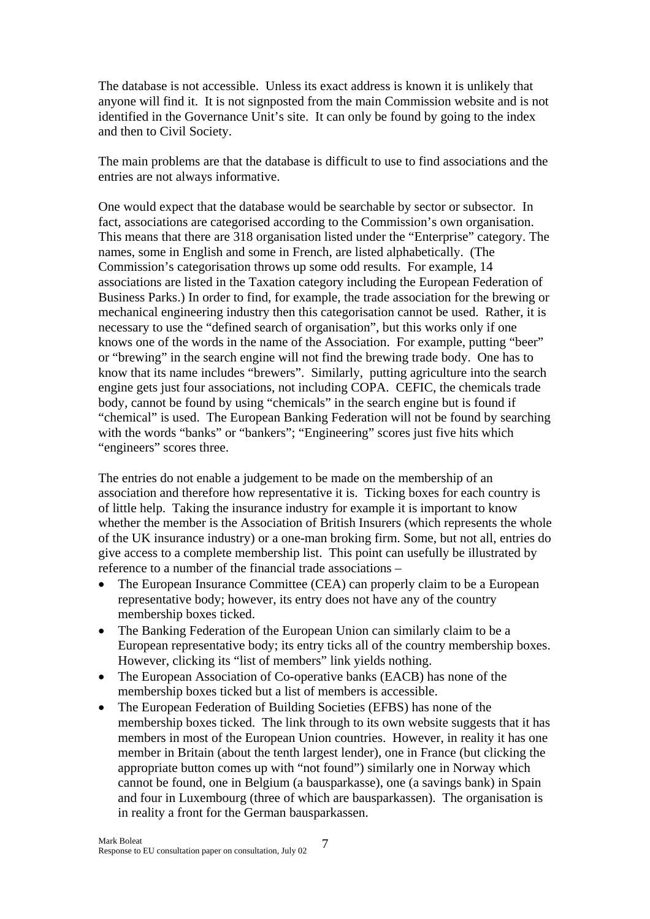The database is not accessible. Unless its exact address is known it is unlikely that anyone will find it. It is not signposted from the main Commission website and is not identified in the Governance Unit's site. It can only be found by going to the index and then to Civil Society.

The main problems are that the database is difficult to use to find associations and the entries are not always informative.

One would expect that the database would be searchable by sector or subsector. In fact, associations are categorised according to the Commission's own organisation. This means that there are 318 organisation listed under the "Enterprise" category. The names, some in English and some in French, are listed alphabetically. (The Commission's categorisation throws up some odd results. For example, 14 associations are listed in the Taxation category including the European Federation of Business Parks.) In order to find, for example, the trade association for the brewing or mechanical engineering industry then this categorisation cannot be used. Rather, it is necessary to use the "defined search of organisation", but this works only if one knows one of the words in the name of the Association. For example, putting "beer" or "brewing" in the search engine will not find the brewing trade body. One has to know that its name includes "brewers". Similarly, putting agriculture into the search engine gets just four associations, not including COPA. CEFIC, the chemicals trade body, cannot be found by using "chemicals" in the search engine but is found if "chemical" is used. The European Banking Federation will not be found by searching with the words "banks" or "bankers"; "Engineering" scores just five hits which "engineers" scores three.

The entries do not enable a judgement to be made on the membership of an association and therefore how representative it is. Ticking boxes for each country is of little help. Taking the insurance industry for example it is important to know whether the member is the Association of British Insurers (which represents the whole of the UK insurance industry) or a one-man broking firm. Some, but not all, entries do give access to a complete membership list. This point can usefully be illustrated by reference to a number of the financial trade associations –

- The European Insurance Committee (CEA) can properly claim to be a European representative body; however, its entry does not have any of the country membership boxes ticked.
- The Banking Federation of the European Union can similarly claim to be a European representative body; its entry ticks all of the country membership boxes. However, clicking its "list of members" link yields nothing.
- The European Association of Co-operative banks (EACB) has none of the membership boxes ticked but a list of members is accessible.
- The European Federation of Building Societies (EFBS) has none of the membership boxes ticked. The link through to its own website suggests that it has members in most of the European Union countries. However, in reality it has one member in Britain (about the tenth largest lender), one in France (but clicking the appropriate button comes up with "not found") similarly one in Norway which cannot be found, one in Belgium (a bausparkasse), one (a savings bank) in Spain and four in Luxembourg (three of which are bausparkassen). The organisation is in reality a front for the German bausparkassen.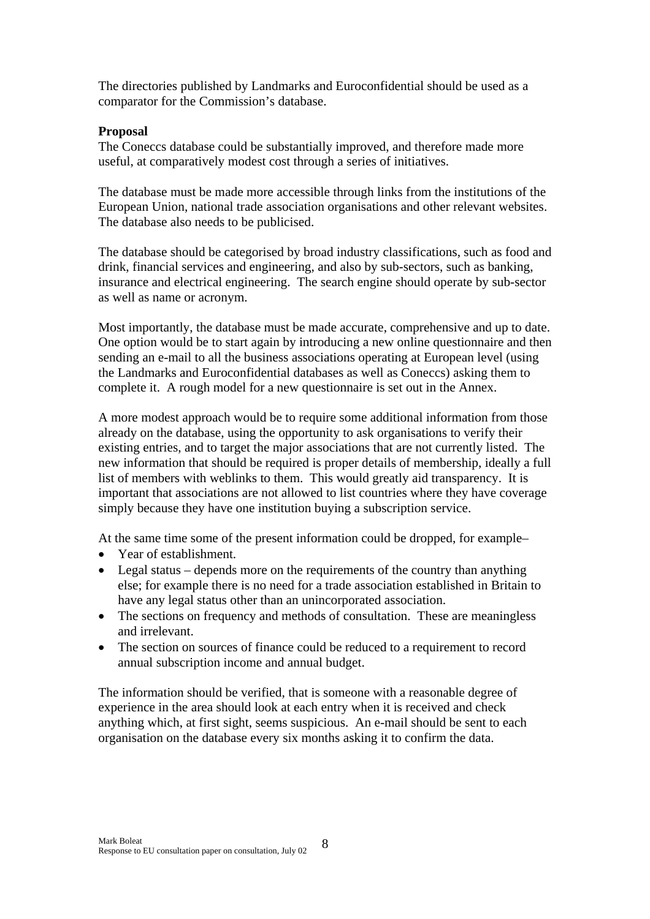The directories published by Landmarks and Euroconfidential should be used as a comparator for the Commission's database.

## **Proposal**

The Coneccs database could be substantially improved, and therefore made more useful, at comparatively modest cost through a series of initiatives.

The database must be made more accessible through links from the institutions of the European Union, national trade association organisations and other relevant websites. The database also needs to be publicised.

The database should be categorised by broad industry classifications, such as food and drink, financial services and engineering, and also by sub-sectors, such as banking, insurance and electrical engineering. The search engine should operate by sub-sector as well as name or acronym.

Most importantly, the database must be made accurate, comprehensive and up to date. One option would be to start again by introducing a new online questionnaire and then sending an e-mail to all the business associations operating at European level (using the Landmarks and Euroconfidential databases as well as Coneccs) asking them to complete it. A rough model for a new questionnaire is set out in the Annex.

A more modest approach would be to require some additional information from those already on the database, using the opportunity to ask organisations to verify their existing entries, and to target the major associations that are not currently listed. The new information that should be required is proper details of membership, ideally a full list of members with weblinks to them. This would greatly aid transparency. It is important that associations are not allowed to list countries where they have coverage simply because they have one institution buying a subscription service.

At the same time some of the present information could be dropped, for example–

- Year of establishment.
- Legal status depends more on the requirements of the country than anything else; for example there is no need for a trade association established in Britain to have any legal status other than an unincorporated association.
- The sections on frequency and methods of consultation. These are meaningless and irrelevant.
- The section on sources of finance could be reduced to a requirement to record annual subscription income and annual budget.

The information should be verified, that is someone with a reasonable degree of experience in the area should look at each entry when it is received and check anything which, at first sight, seems suspicious. An e-mail should be sent to each organisation on the database every six months asking it to confirm the data.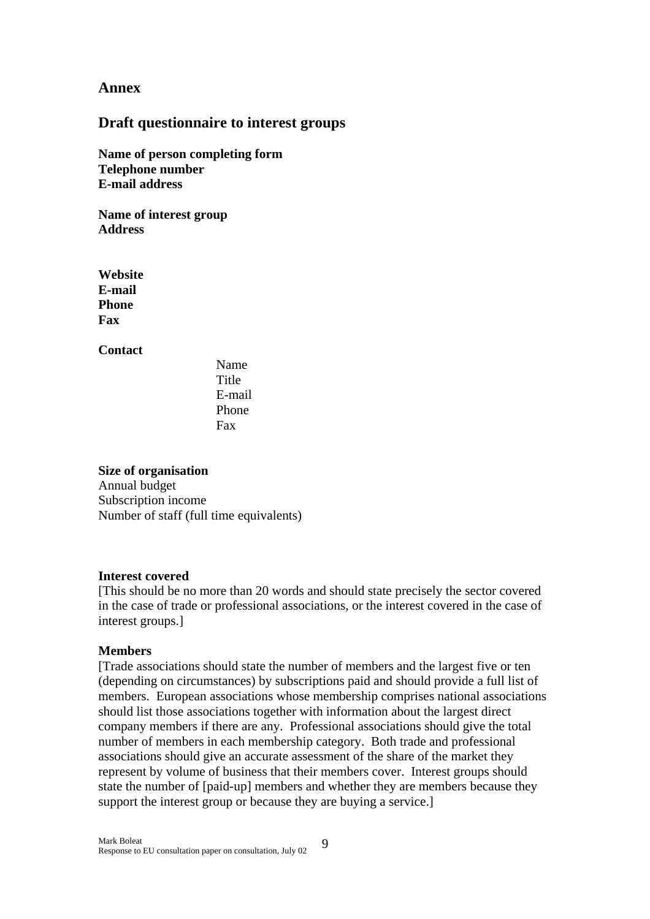## **Annex**

## **Draft questionnaire to interest groups**

**Name of person completing form Telephone number E-mail address** 

**Name of interest group Address** 

**Website E-mail Phone Fax** 

**Contact** 

Name Title E-mail Phone Fax

**Size of organisation** 

Annual budget Subscription income Number of staff (full time equivalents)

### **Interest covered**

[This should be no more than 20 words and should state precisely the sector covered in the case of trade or professional associations, or the interest covered in the case of interest groups.]

### **Members**

[Trade associations should state the number of members and the largest five or ten (depending on circumstances) by subscriptions paid and should provide a full list of members. European associations whose membership comprises national associations should list those associations together with information about the largest direct company members if there are any. Professional associations should give the total number of members in each membership category. Both trade and professional associations should give an accurate assessment of the share of the market they represent by volume of business that their members cover. Interest groups should state the number of [paid-up] members and whether they are members because they support the interest group or because they are buying a service.]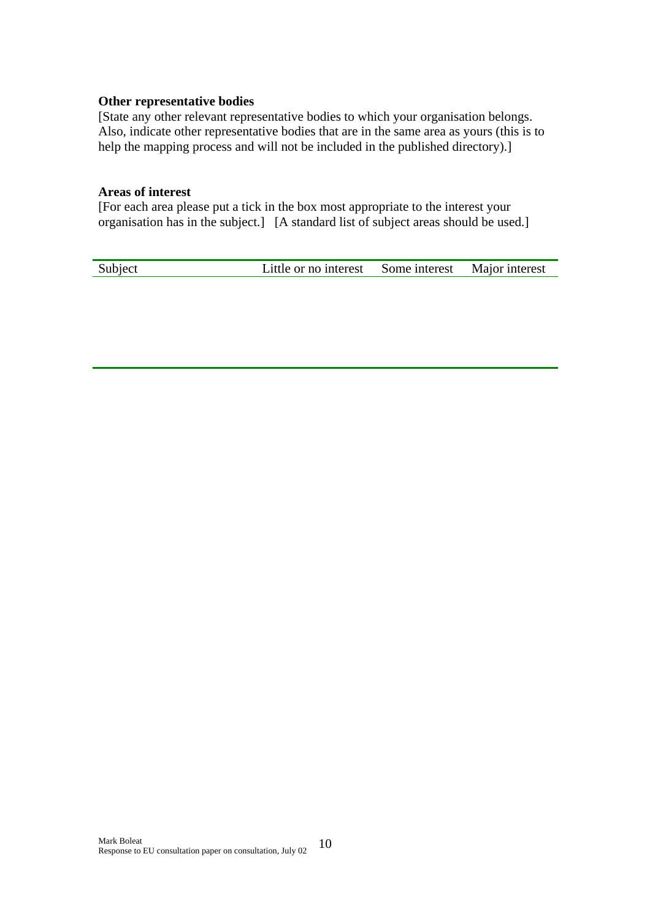### **Other representative bodies**

[State any other relevant representative bodies to which your organisation belongs. Also, indicate other representative bodies that are in the same area as yours (this is to help the mapping process and will not be included in the published directory).]

### **Areas of interest**

[For each area please put a tick in the box most appropriate to the interest your organisation has in the subject.] [A standard list of subject areas should be used.]

Subject Little or no interest Some interest Major interest